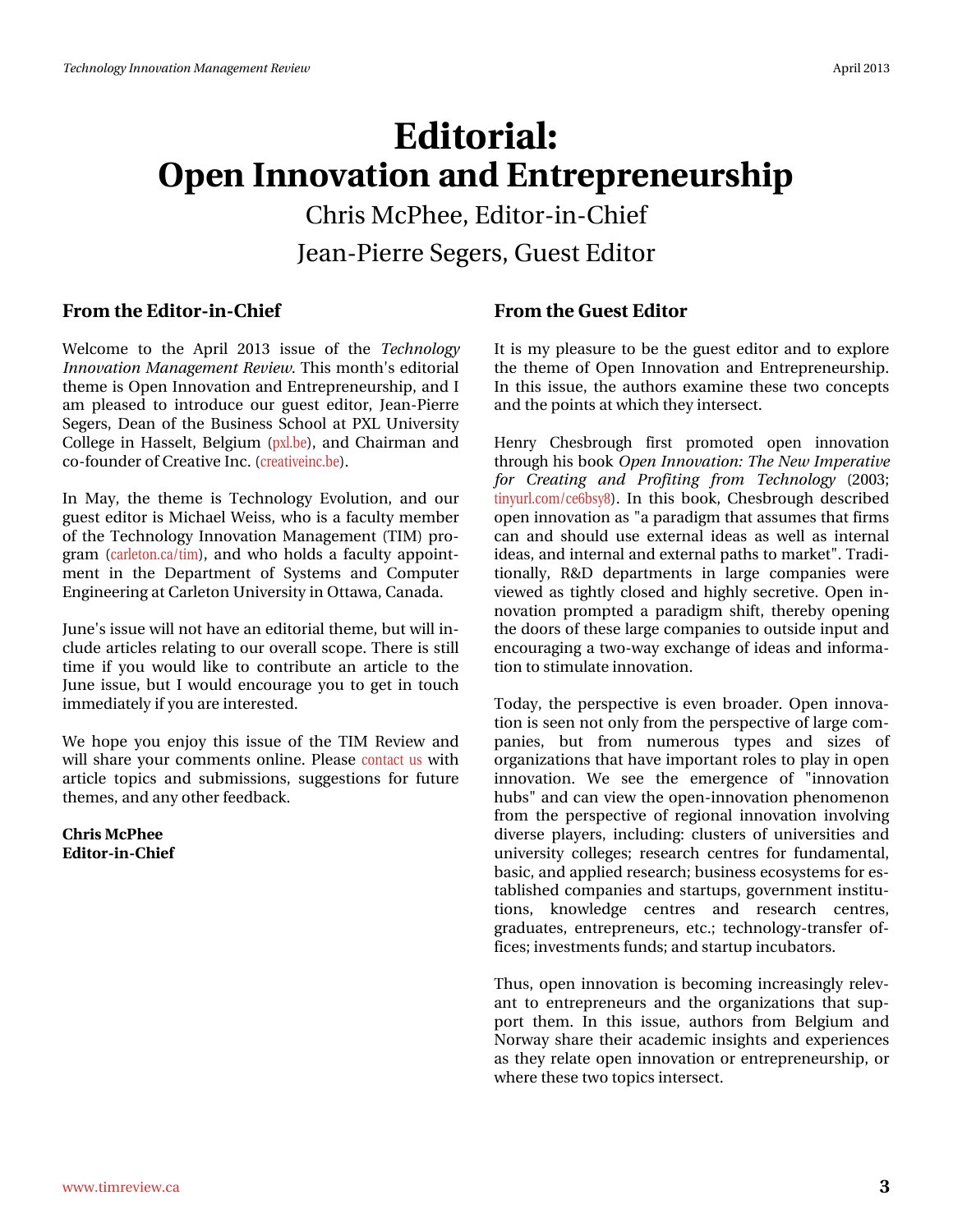# $Hglwudq$ Rshq#qqrydwrq#dqg#HqwuhsuhqhxuvkIs Fkuv# fSkhh/#-lglw u0q0 Fklhi MidgOSIhuuh#Vhj huv/#xhvv#Hglvru

## I urp #wkh#Hqlwru0lq0Fklhi

Z hof r p h#wr#wkh#Dsuld#5346#Ivvxh#ri#wkh#Whfkqrorj| Lqqrydwrq#PdqdjhphqwtJhylhz 1# Wklv#prqwk Šv#hglwruldo# wk.hp h#v#Rshq#Lqqrydwlrq#dqg#Hqwuhsuhqhxuvkls/#dqg#L# dp #sohdvhg#wr#lqwurgxfh#rxu#jxhw#hglwru/#Mhdq0Slhuuh# Vhjhuv/#Ghdq#ri#wkh#Exvlqhvv#Vfkrro#dw#S[O#Xqlyhuvlw|# Froghi h#lq#Kdvvhow#Ehojlxp#s{deh,/#dqg#Fkdlupdq#dqg# fr Oir xqghu# i#Fuhdwyh#qf ## uhdwyhlqf eh, 1

Lg#P d|/#wkh#wkhp h#lv#Whfkgrorj|#Hyroxwlrg/#dqg#rxu# ixh whing lw u#v#P If kdhd+Z hlvv/#z kr#v#d#dfxow|#p hp ehu# ri#wkh#Whfkqrorj|#Lqqrydwlrq#Pdqdjhphqw#+WLP,#sur0 judp# # dubwrqfd2wlp, /#dqg#zkr#krogv#d#idfxow|#dssrlqw0 p hqw#lq#wkh#Ghsduwp hqw#ri#V|wwhp v#dqg#Frp sxwhu# Hojighhulgj#dw#Fdudwrg#Xglyhuvlwl#g#Rwdzd/#Fdgdgd1#

MiqhŚr#wxh#zloo#qrw#kdyh#dq#hglwruldo#wkhph/#exw#zloo#q0 f ox gh#duwf dnv#uhodwig i #w # x u# yhudod#vf r sh1#Nk huh#v#wwod# whp h#li#| r x #z r x og#dnh#wr #f r q wulex wh#dq#duwlf dh#wr #wk h# Mxiqh#lvvxh/#exw#L#zrxog#hqfrxudjh#|rx#wr#jhw#lq#wrxfk# Ip p hgldwhoj#i#rx#duh#qwhuhwwhg1#

Z h#krsh#|rx#hqm|#wklv#lvvxh#ri#wkh#NUP #Uhylhz #dqg# z loottvk duhtt| r x utf r p p hqwrttr q olqh ttSohdvhtt r qvdf v#x vttz l vk # duwlf oh#wrslfv#dqg#vxeplvvlrqv/#vxjjhvwlrqv#iru#ixwxuh# wkhp hv/#dqg#dq|#wkhu#hhqedfn1

Fkulv#PfSkhh Halw udgoFklhi

#### I urp #wkh#Jxhvv#Hqlwru

Luwiv#p | #sohdvxuh#wr#eh#wkh#jxhvw#hglwru#dqg#wr#h{soruh# wkh#wkhph#ri#Rshq#Lqqrydwlrq#dqg#Hqwuhsuhqhxuvkls1# Lq#wklv#lvvxh/#wkh#dxwkruv#h{dplqh#wkhvh#wzr#frqfhswv# dqg#/kh#srlqw#dwokzlfk#/kh|#qwhuvhfw1

Khqu #Fkhveurxjk#iluw#surprwhg#rshq#lqqrydwlrq# wkurxjk#klv#errn#Rshq#Lqqrydwlrq=#Wkh#Qhz#Lpshudwlyh# iru#Fuhdwlqj#dqg#Surilwlqj#iurp#Whfkqrorj|#+5336> wg|xuofrp2fh9ev|;,1#Lq#wklv#errn/#Fkhveurxjk#ghvfulehg# rshq#qqrydvlrq#dv#%d#sdudglip#wkdv#dvvxphv#wkdv#llupv# f dq#dqg#vkrxog#xvh#h{whuqdo#lghdv#dv#z hoo#dv#lqwhuqdo# Ighdv/#dqg#qwhuqdd#dqg#h{whuqdd#sdwkv#wr#pdunhw0##WudgI0 whrqdoo)/#U) G#ghsduwphqww#lq#odujh#frpsdqlhv#zhuh# ylhz hg#dv#wjkwoj#forvhg#dqg#kljkoj#whfuhwlyh1#Rshq#lq0 grydw'r g#surpswhg#d#sdudglip#vkliw#wkhuhel#rshqlqi# wk.h#grruw#ri#wk.hvh#odujh#frpsdqlhv#wr#xwvlgh#lqsxw#dqg# hqfrxudjlqj#d#wzr0zd|#h{fkdqjh#ri#lghdv#dqg#lqirupd0 whrq#wr#whpxodwh#qqrydwhrq1#

Wigdl/#wkh#shuvshfwlyh#lv#hyhq#eurdghu/#Rshq#lqqryd0 who q#v#vhhq#qrw#qql#urp#wkh#shuvshfwlyh#ri#odujh#frp0 sdqlhv/# exw# iurp # qxp hurxv# w|shv# dqg# vl}hv# ri# rujdql}dwlrqv#wkdw#kdyh#psruwdqw#urdnv#wr#sod|#lq#rshq# lqqr ydw'r q#Z h#vhh#wkh#hp huj hqf h#ri#% qqr ydw'r q# kxev%#dqg#dq#ylhz#wkh#shq0lqqrydwlrq#skhqrphqrq# iurp #wkh#shuvshfwlyh#ri#uhjIrqdo#lqqrydwlrq#lqyroylqj# glyhwh#sod|hw/#lqfoxglqj=#foxwhw#ri#xqlyhwlwhv#dqg# xqlyhuvly #froohjhv:#uhvhdufk#fhqwuhv#iru#ixqqdphqwdo/# edvlf/#dqg#dssolhg#uhvhdufk: #exvlqhvv#hfrv| whp v#ru#hv0 wded vk hg#frpsdqlhv#dqg#wduwxsv/#jryhuqphqw#qwwlwx0 whigh window the state of the window window window with the window with the state of the state of the state of the state of the state of the state of the state of the state of the state of the state of the state of the sta judgxdwhv/#hqwuhsuhqhxuv/#hwf1#whfkqrorj|0wudqvihu#ri0 ilfhv:#qyhvwphqwr#xqgv:#dqg#wduwxs#qfxedwruv1

Wkxv/#rshq#lqqrydwlrq#lv#ehfrplqj#lqfuhdvlqjq#uhdny0 dqv#wr#hqwuhsuhqhxuv#dqg#wkh#rujdql}dwlrqv#wkdw#vxs0 sruw#wkhp1#Lq#wklv#lvvxh/#dxwkruv#iurp#Ehojlxp#dqg# Qruzd #vkduh#wkhlu#dfdghp If#qvljkw#dqg#h{shulhqfhv# dv#wkh|#uhodvh#rshq#lqqrydvlrq#ru#hqwuhsuhqhxuvkls/#ru# z k huh# k hvh# x r # w slfv# q vhuvhfw#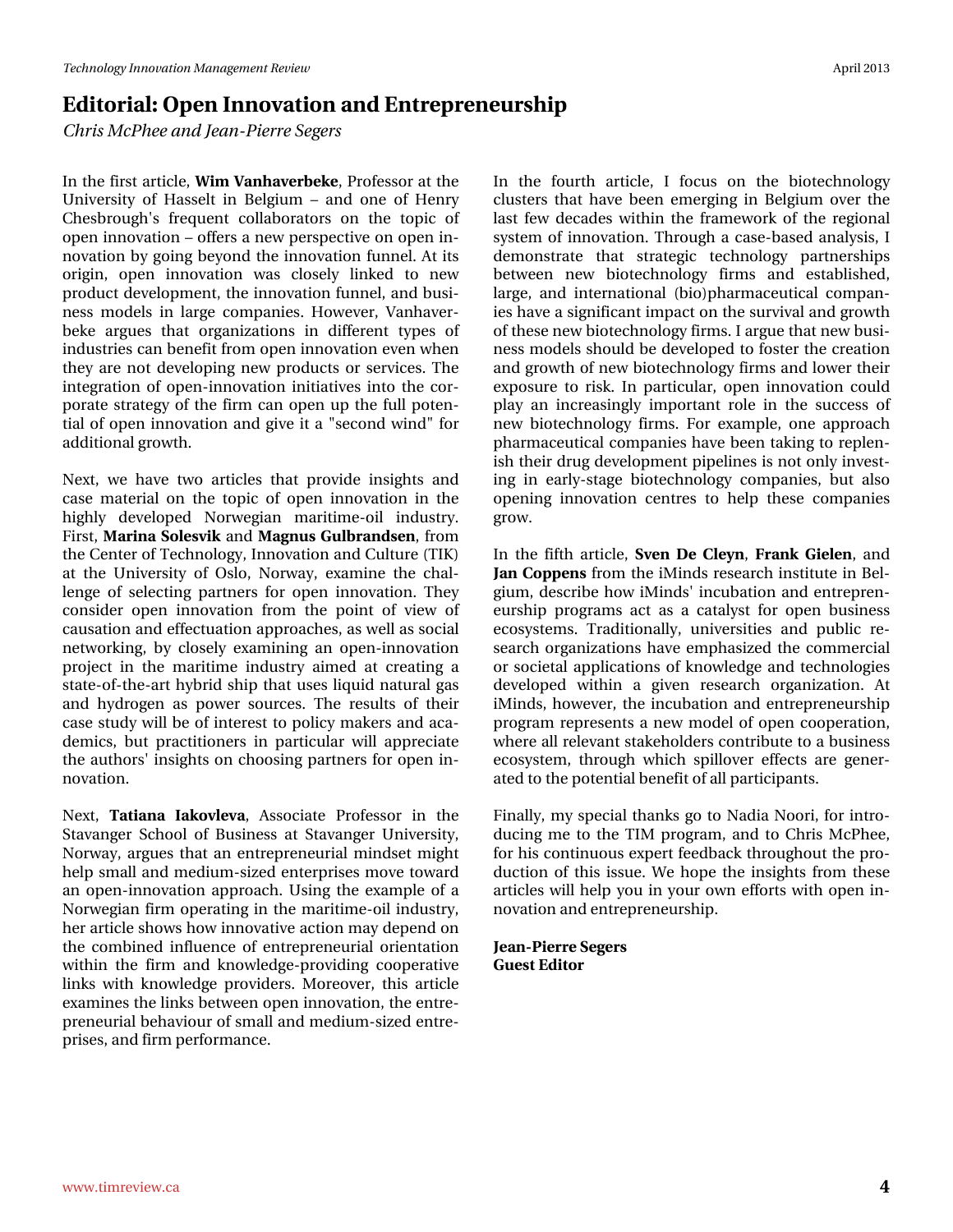## **Editorial: Open Innovation and Entrepreneurship**

*Chris McPhee and Jean-Pierre Segers*

In the first article, **Wim Vanhaverbeke**, Professor at the University of Hasselt in Belgium – and one of Henry Chesbrough's frequent collaborators on the topic of open innovation – offers a new perspective on open innovation by going beyond the innovation funnel. At its origin, open innovation was closely linked to new product development, the innovation funnel, and business models in large companies. However, Vanhaverbeke argues that organizations in different types of industries can benefit from open innovation even when they are not developing new products or services. The integration of open-innovation initiatives into the corporate strategy of the firm can open up the full potential of open innovation and give it a "second wind" for additional growth.

Next, we have two articles that provide insights and case material on the topic of open innovation in the highly developed Norwegian maritime-oil industry. First, **Marina Solesvik** and **Magnus Gulbrandsen**, from the Center of Technology, Innovation and Culture (TIK) at the University of Oslo, Norway, examine the challenge of selecting partners for open innovation. They consider open innovation from the point of view of causation and effectuation approaches, as well as social networking, by closely examining an open-innovation project in the maritime industry aimed at creating a state-of-the-art hybrid ship that uses liquid natural gas and hydrogen as power sources. The results of their case study will be of interest to policy makers and academics, but practitioners in particular will appreciate the authors' insights on choosing partners for open innovation.

Next, **Tatiana Iakovleva**, Associate Professor in the Stavanger School of Business at Stavanger University, Norway, argues that an entrepreneurial mindset might help small and medium-sized enterprises move toward an open-innovation approach. Using the example of a Norwegian firm operating in the maritime-oil industry, her article shows how innovative action may depend on the combined influence of entrepreneurial orientation within the firm and knowledge-providing cooperative links with knowledge providers. Moreover, this article examines the links between open innovation, the entrepreneurial behaviour of small and medium-sized entreprises, and firm performance.

In the fourth article, I focus on the biotechnology clusters that have been emerging in Belgium over the last few decades within the framework of the regional system of innovation. Through a case-based analysis, I demonstrate that strategic technology partnerships between new biotechnology firms and established, large, and international (bio)pharmaceutical companies have a significant impact on the survival and growth of these new biotechnology firms. I argue that new business models should be developed to foster the creation and growth of new biotechnology firms and lower their exposure to risk. In particular, open innovation could play an increasingly important role in the success of new biotechnology firms. For example, one approach pharmaceutical companies have been taking to replenish their drug development pipelines is not only investing in early-stage biotechnology companies, but also opening innovation centres to help these companies grow.

In the fifth article, **Sven De Cleyn**, **Frank Gielen**, and **Jan Coppens** from the iMinds research institute in Belgium, describe how iMinds' incubation and entrepreneurship programs act as a catalyst for open business ecosystems. Traditionally, universities and public research organizations have emphasized the commercial or societal applications of knowledge and technologies developed within a given research organization. At iMinds, however, the incubation and entrepreneurship program represents a new model of open cooperation, where all relevant stakeholders contribute to a business ecosystem, through which spillover effects are generated to the potential benefit of all participants.

Finally, my special thanks go to Nadia Noori, for introducing me to the TIM program, and to Chris McPhee, for his continuous expert feedback throughout the production of this issue. We hope the insights from these articles will help you in your own efforts with open innovation and entrepreneurship.

**Jean-Pierre Segers Guest Editor**